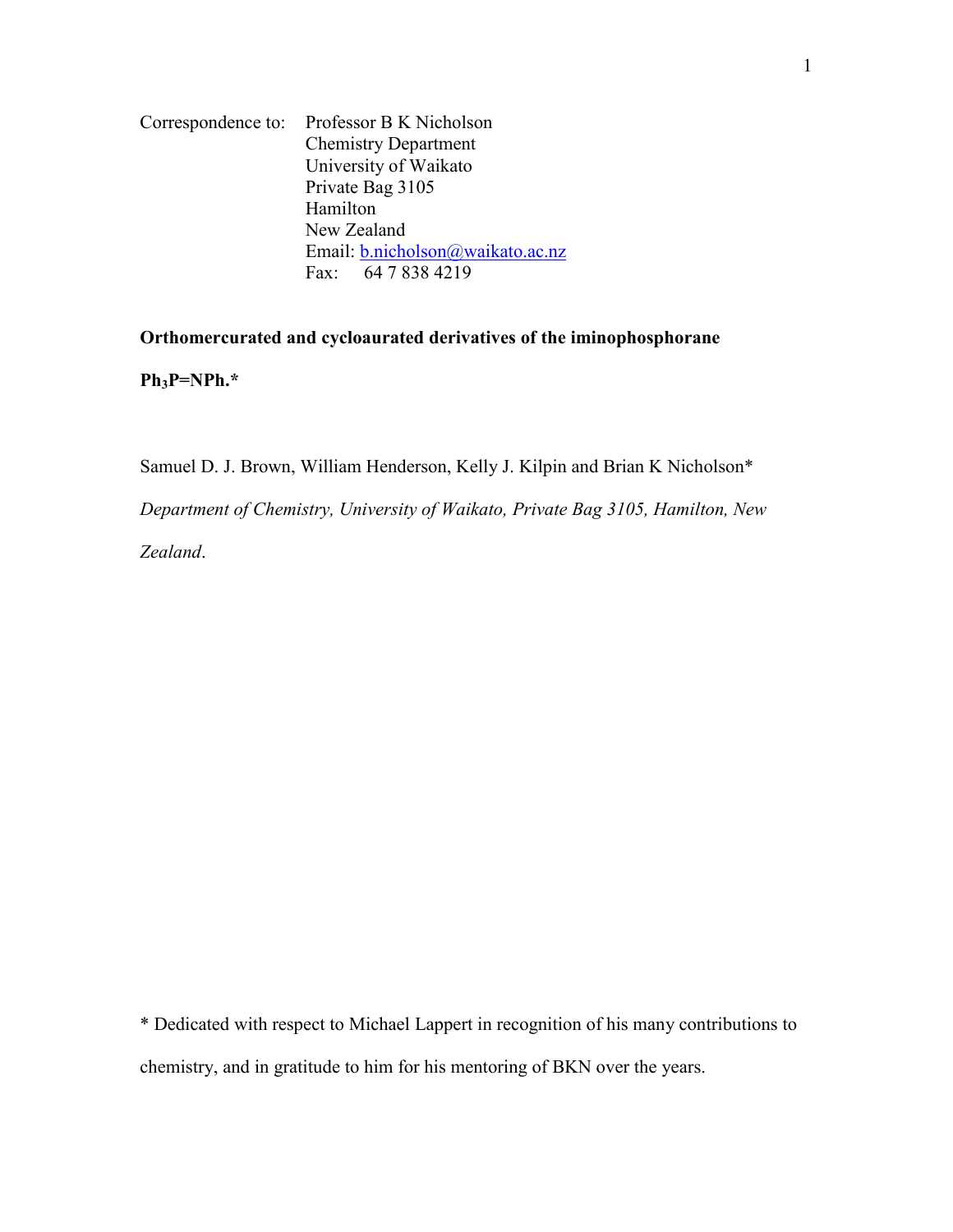Correspondence to: Professor B K Nicholson Chemistry Department University of Waikato Private Bag 3105 Hamilton New Zealand Email: b.nicholson@waikato.ac.nz Fax: 64 7 838 4219

**Orthomercurated and cycloaurated derivatives of the iminophosphorane** 

**Ph3P=NPh.\*** 

Samuel D. J. Brown, William Henderson, Kelly J. Kilpin and Brian K Nicholson\* *Department of Chemistry, University of Waikato, Private Bag 3105, Hamilton, New Zealand*.

\* Dedicated with respect to Michael Lappert in recognition of his many contributions to chemistry, and in gratitude to him for his mentoring of BKN over the years.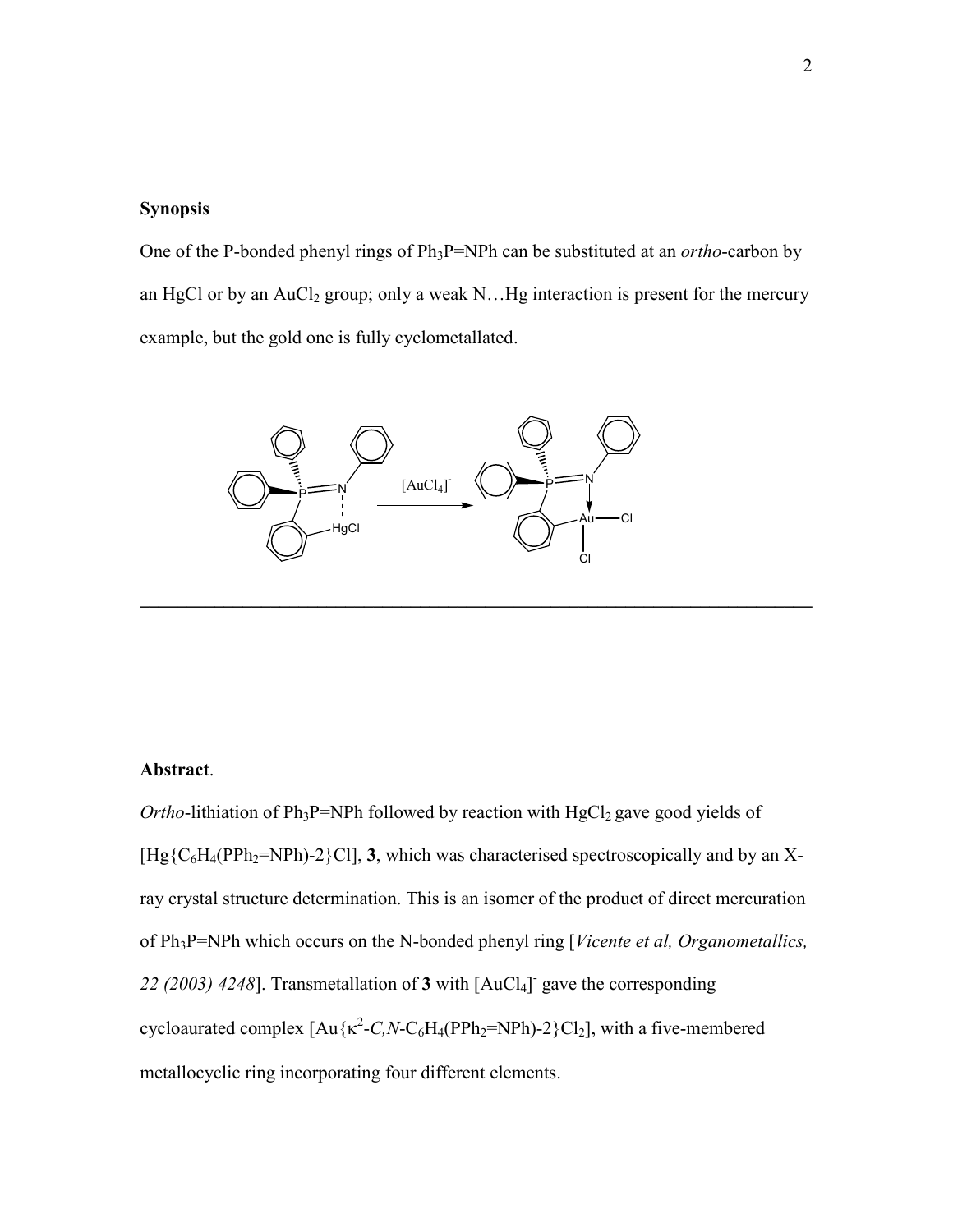## **Synopsis**

One of the P-bonded phenyl rings of Ph<sub>3</sub>P=NPh can be substituted at an *ortho*-carbon by an HgCl or by an AuCl<sub>2</sub> group; only a weak N...Hg interaction is present for the mercury example, but the gold one is fully cyclometallated.

**\_\_\_\_\_\_\_\_\_\_\_\_\_\_\_\_\_\_\_\_\_\_\_\_\_\_\_\_\_\_\_\_\_\_\_\_\_\_\_\_\_\_\_\_\_\_\_\_\_\_\_\_\_\_\_\_\_\_\_\_\_\_\_\_\_\_\_\_\_\_\_\_** 



## **Abstract**.

*Ortho*-lithiation of Ph<sub>3</sub>P=NPh followed by reaction with HgCl<sub>2</sub> gave good yields of  $[Hg{C_6}H_4(PPh_2=NPh)-2{Cl}]$ , **3**, which was characterised spectroscopically and by an Xray crystal structure determination. This is an isomer of the product of direct mercuration of Ph3P=NPh which occurs on the N-bonded phenyl ring [*Vicente et al, Organometallics,*  22 (2003) 4248]. Transmetallation of **3** with [AuCl<sub>4</sub>] gave the corresponding cycloaurated complex  $[Au\{\kappa^2-C_N-C_6H_4(PPh_2=NPh)-2\}Cl_2]$ , with a five-membered metallocyclic ring incorporating four different elements.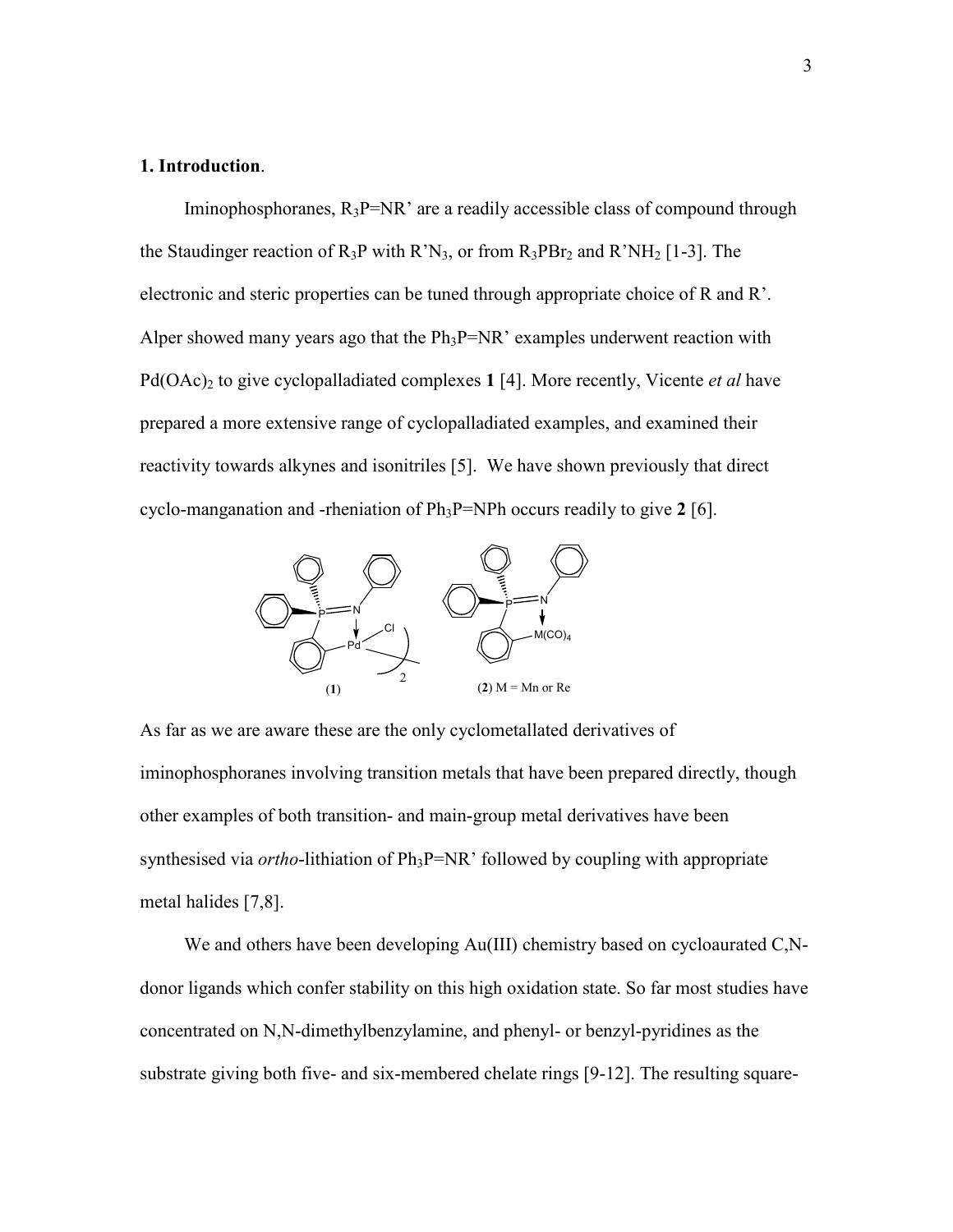#### **1. Introduction**.

Iminophosphoranes,  $R_3P=NR$  are a readily accessible class of compound through the Staudinger reaction of  $R_3P$  with  $R^2N_3$ , or from  $R_3PBr_2$  and  $R^2NH_2$  [1-3]. The electronic and steric properties can be tuned through appropriate choice of R and R'. Alper showed many years ago that the  $Ph_3P=NR$  examples underwent reaction with Pd(OAc)<sub>2</sub> to give cyclopalladiated complexes 1 [4]. More recently, Vicente *et al* have prepared a more extensive range of cyclopalladiated examples, and examined their reactivity towards alkynes and isonitriles [5]. We have shown previously that direct cyclo-manganation and -rheniation of Ph3P=NPh occurs readily to give **2** [6].



As far as we are aware these are the only cyclometallated derivatives of iminophosphoranes involving transition metals that have been prepared directly, though other examples of both transition- and main-group metal derivatives have been synthesised via *ortho*-lithiation of Ph<sub>3</sub>P=NR' followed by coupling with appropriate metal halides [7,8].

We and others have been developing Au(III) chemistry based on cycloaurated C<sub>,</sub>Ndonor ligands which confer stability on this high oxidation state. So far most studies have concentrated on N,N-dimethylbenzylamine, and phenyl- or benzyl-pyridines as the substrate giving both five- and six-membered chelate rings [9-12]. The resulting square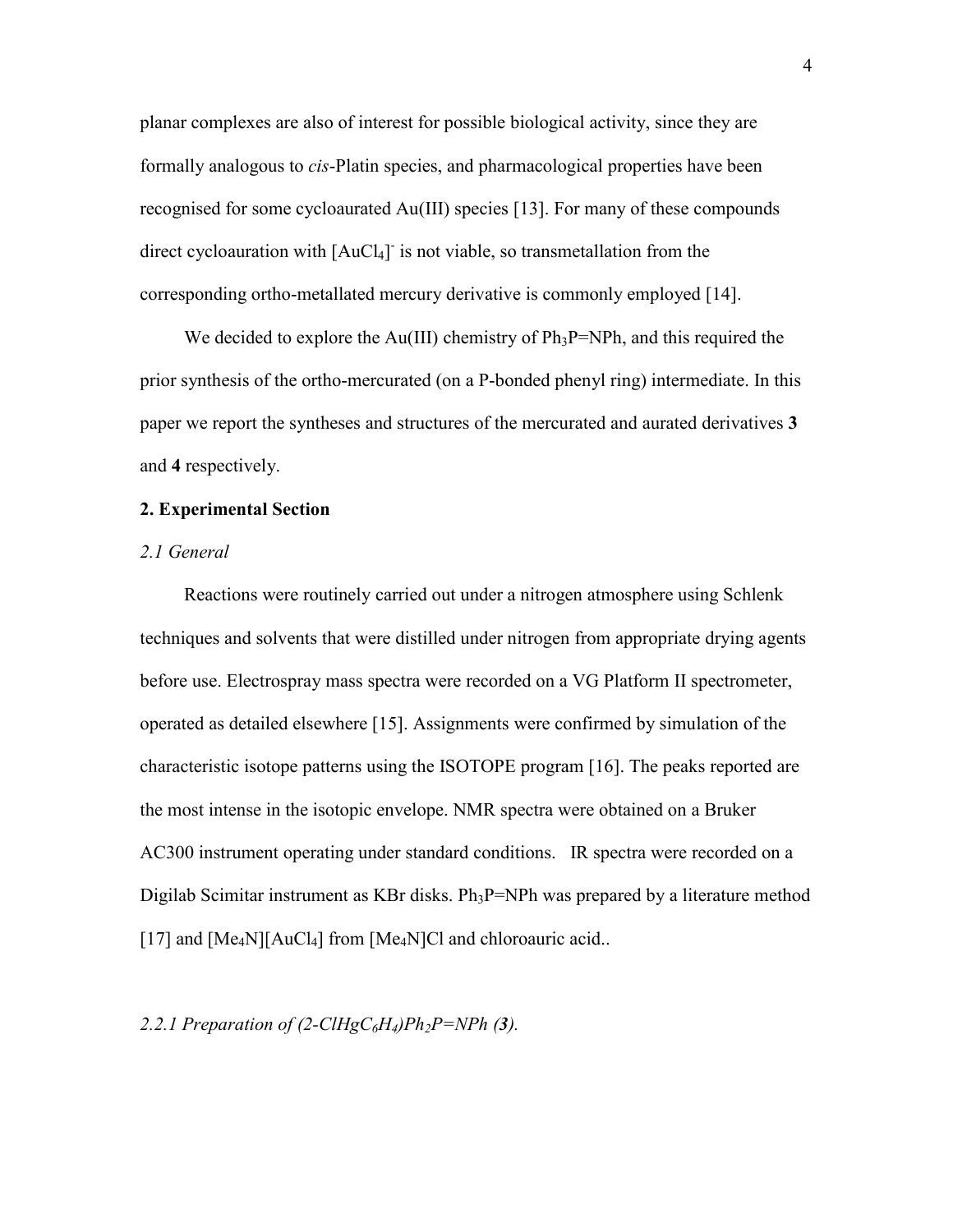planar complexes are also of interest for possible biological activity, since they are formally analogous to *cis*-Platin species, and pharmacological properties have been recognised for some cycloaurated Au(III) species [13]. For many of these compounds direct cycloauration with [AuCl<sub>4</sub>] is not viable, so transmetallation from the corresponding ortho-metallated mercury derivative is commonly employed [14].

We decided to explore the  $Au(III)$  chemistry of  $Ph_3P=NPh$ , and this required the prior synthesis of the ortho-mercurated (on a P-bonded phenyl ring) intermediate. In this paper we report the syntheses and structures of the mercurated and aurated derivatives **3** and **4** respectively.

#### **2. Experimental Section**

#### *2.1 General*

 Reactions were routinely carried out under a nitrogen atmosphere using Schlenk techniques and solvents that were distilled under nitrogen from appropriate drying agents before use. Electrospray mass spectra were recorded on a VG Platform II spectrometer, operated as detailed elsewhere [15]. Assignments were confirmed by simulation of the characteristic isotope patterns using the ISOTOPE program [16]. The peaks reported are the most intense in the isotopic envelope. NMR spectra were obtained on a Bruker AC300 instrument operating under standard conditions. IR spectra were recorded on a Digilab Scimitar instrument as KBr disks.  $Ph_3P=NPh$  was prepared by a literature method [17] and  $[Me_4N][AuCl_4]$  from  $[Me_4N]Cl$  and chloroauric acid..

2.2.1 Preparation of  $(2\text{-}CIHgC_6H_4)Ph_2P=NPh (3)$ .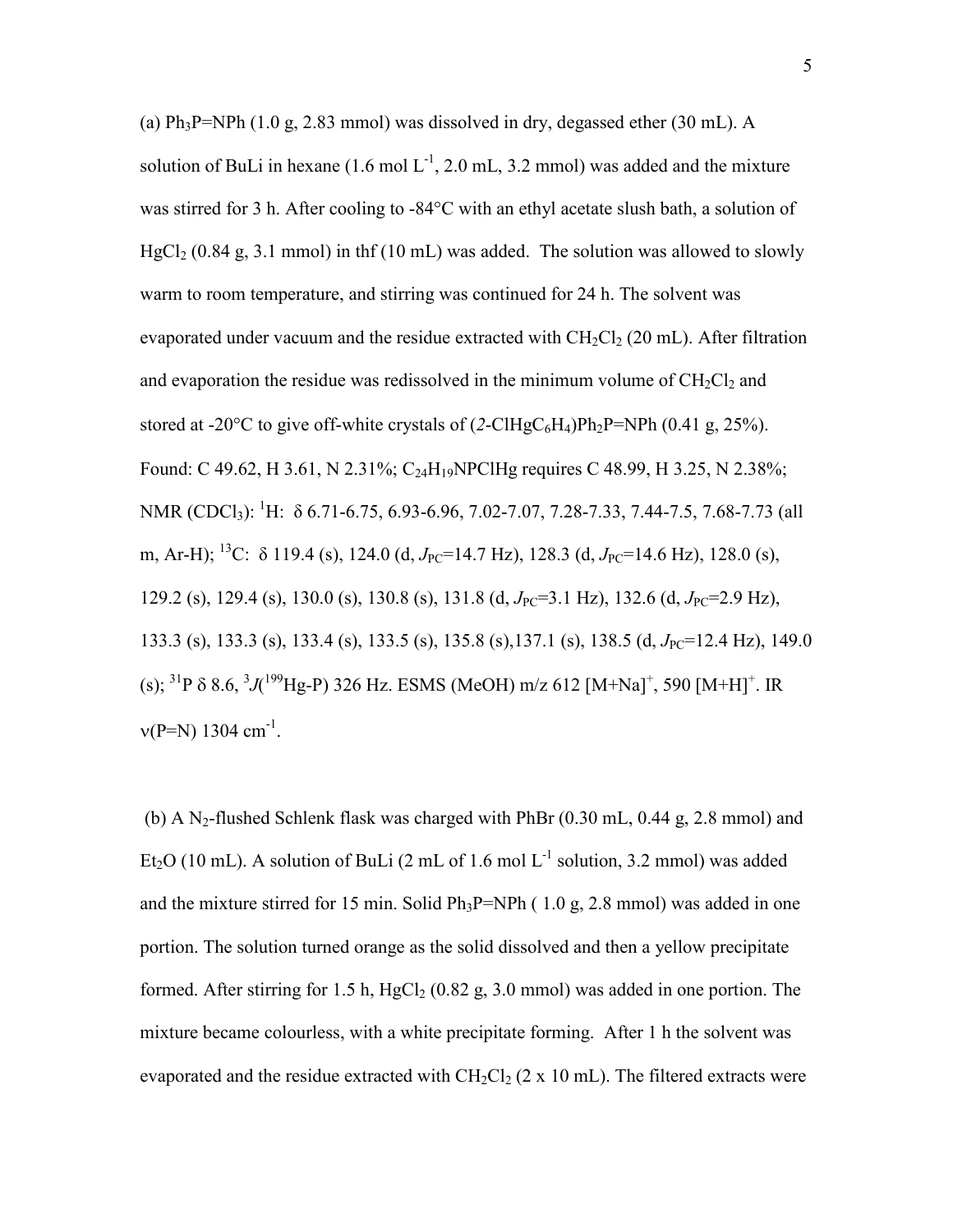(a)  $Ph_3P=NPh$  (1.0 g, 2.83 mmol) was dissolved in dry, degassed ether (30 mL). A solution of BuLi in hexane  $(1.6 \text{ mol L}^{-1}, 2.0 \text{ mL}, 3.2 \text{ mmol})$  was added and the mixture was stirred for 3 h. After cooling to -84°C with an ethyl acetate slush bath, a solution of  $HgCl<sub>2</sub>$  (0.84 g, 3.1 mmol) in thf (10 mL) was added. The solution was allowed to slowly warm to room temperature, and stirring was continued for 24 h. The solvent was evaporated under vacuum and the residue extracted with  $CH_2Cl_2$  (20 mL). After filtration and evaporation the residue was redissolved in the minimum volume of  $CH<sub>2</sub>Cl<sub>2</sub>$  and stored at -20 $^{\circ}$ C to give off-white crystals of  $(2\text{-}C1HgC_6H_4)Ph_2P=NPh (0.41 g, 25\%).$ Found: C 49.62, H 3.61, N 2.31%; C<sub>24</sub>H<sub>19</sub>NPClHg requires C 48.99, H 3.25, N 2.38%; NMR (CDCl<sub>3</sub>): <sup>1</sup>H:  $\delta$  6.71-6.75, 6.93-6.96, 7.02-7.07, 7.28-7.33, 7.44-7.5, 7.68-7.73 (all m, Ar-H); <sup>13</sup>C: δ 119.4 (s), 124.0 (d, *J*<sub>PC</sub>=14.7 Hz), 128.3 (d, *J*<sub>PC</sub>=14.6 Hz), 128.0 (s), 129.2 (s), 129.4 (s), 130.0 (s), 130.8 (s), 131.8 (d, *J*<sub>PC</sub>=3.1 Hz), 132.6 (d, *J*<sub>PC</sub>=2.9 Hz), 133.3 (s), 133.3 (s), 133.4 (s), 133.5 (s), 135.8 (s), 137.1 (s), 138.5 (d, *J*<sub>PC</sub>=12.4 Hz), 149.0 (s); <sup>31</sup>P  $\delta$  8.6, <sup>3</sup>J(<sup>199</sup>Hg-P) 326 Hz. ESMS (MeOH) m/z 612 [M+Na]<sup>+</sup>, 590 [M+H]<sup>+</sup>. IR  $v(P=N)$  1304 cm<sup>-1</sup>.

(b) A N<sub>2</sub>-flushed Schlenk flask was charged with PhBr  $(0.30 \text{ mL}, 0.44 \text{ g}, 2.8 \text{ mmol})$  and Et<sub>2</sub>O (10 mL). A solution of BuLi (2 mL of 1.6 mol  $L^{-1}$  solution, 3.2 mmol) was added and the mixture stirred for 15 min. Solid  $Ph_3P=NPh$  (1.0 g, 2.8 mmol) was added in one portion. The solution turned orange as the solid dissolved and then a yellow precipitate formed. After stirring for 1.5 h,  $HgCl<sub>2</sub>$  (0.82 g, 3.0 mmol) was added in one portion. The mixture became colourless, with a white precipitate forming. After 1 h the solvent was evaporated and the residue extracted with  $CH_2Cl_2$  (2 x 10 mL). The filtered extracts were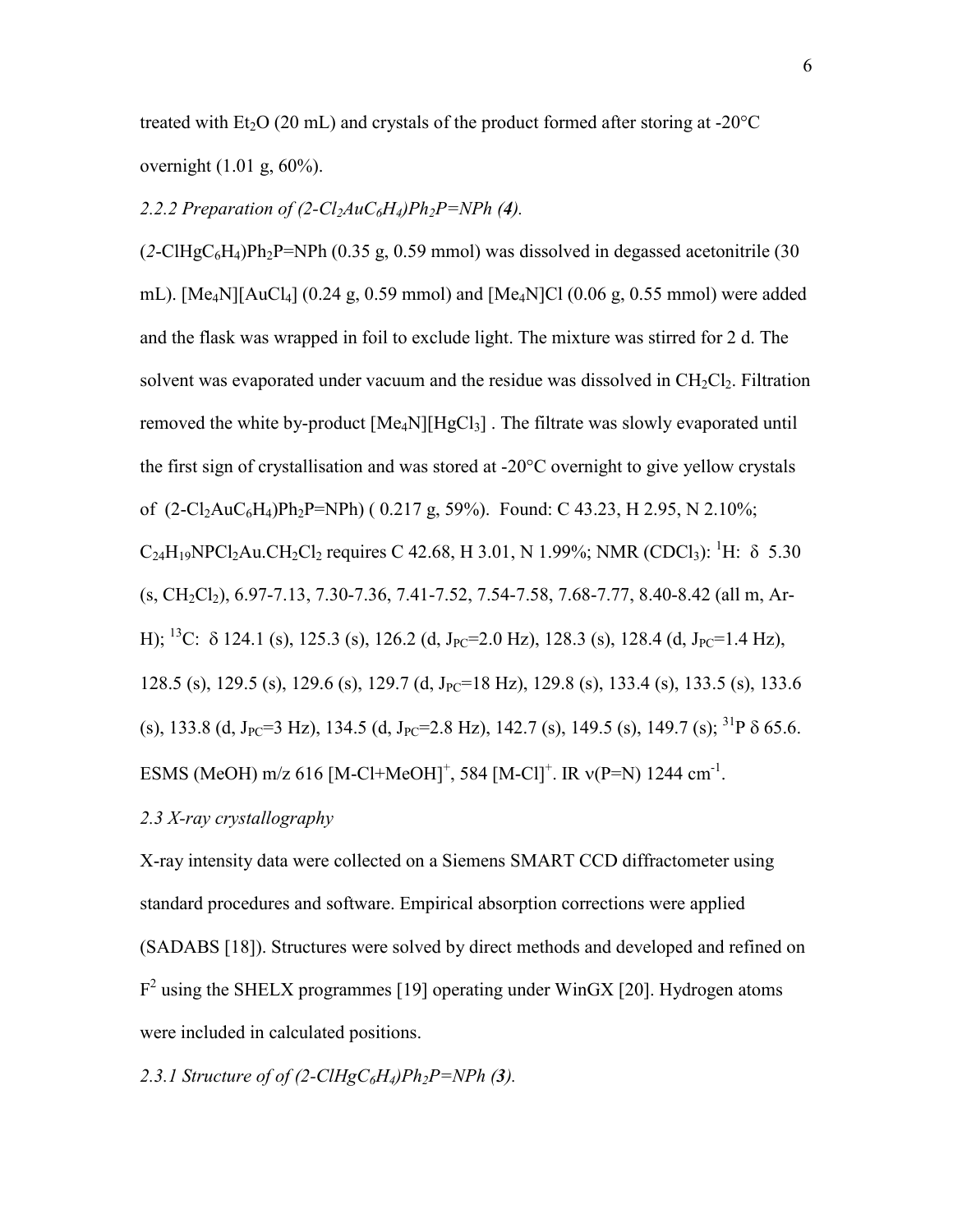treated with  $Et<sub>2</sub>O$  (20 mL) and crystals of the product formed after storing at -20 $^{\circ}$ C overnight (1.01 g, 60%).

## 2.2.2 Preparation of  $(2\text{-}Cl<sub>2</sub>AuC<sub>6</sub>H<sub>4</sub>)Ph<sub>2</sub>P=NPh (4)$ .

 $(2\text{-}CIHgC_6H_4)Ph_2P=NPh (0.35 g, 0.59 mmol)$  was dissolved in degassed acetonitrile (30) mL). [Me<sub>4</sub>N][AuCl<sub>4</sub>] (0.24 g, 0.59 mmol) and [Me<sub>4</sub>N]Cl (0.06 g, 0.55 mmol) were added and the flask was wrapped in foil to exclude light. The mixture was stirred for 2 d. The solvent was evaporated under vacuum and the residue was dissolved in  $CH_2Cl_2$ . Filtration removed the white by-product  $[Me_4N][HgCl_3]$ . The filtrate was slowly evaporated until the first sign of crystallisation and was stored at -20°C overnight to give yellow crystals of  $(2-Cl_2AuC_6H_4)Ph_2P=NPh$  (0.217 g, 59%). Found: C 43.23, H 2.95, N 2.10%;  $C_{24}H_{19}NPCl_2Au.CH_2Cl_2$  requires C 42.68, H 3.01, N 1.99%; NMR (CDCl<sub>3</sub>): <sup>1</sup>H:  $\delta$  5.30  $(s, CH_2Cl_2), 6.97-7.13, 7.30-7.36, 7.41-7.52, 7.54-7.58, 7.68-7.77, 8.40-8.42$  (all m, Ar-H); <sup>13</sup>C:  $\delta$  124.1 (s), 125.3 (s), 126.2 (d, J<sub>PC</sub>=2.0 Hz), 128.3 (s), 128.4 (d, J<sub>PC</sub>=1.4 Hz), 128.5 (s), 129.5 (s), 129.6 (s), 129.7 (d, J<sub>PC</sub>=18 Hz), 129.8 (s), 133.4 (s), 133.5 (s), 133.6 (s), 133.8 (d, J<sub>PC</sub>=3 Hz), 134.5 (d, J<sub>PC</sub>=2.8 Hz), 142.7 (s), 149.5 (s), 149.7 (s); <sup>31</sup>P  $\delta$  65.6. ESMS (MeOH) m/z 616 [M-Cl+MeOH]<sup>+</sup>, 584 [M-Cl]<sup>+</sup>. IR  $v(P=N)$  1244 cm<sup>-1</sup>.

#### *2.3 X-ray crystallography*

X-ray intensity data were collected on a Siemens SMART CCD diffractometer using standard procedures and software. Empirical absorption corrections were applied (SADABS [18]). Structures were solved by direct methods and developed and refined on  $F<sup>2</sup>$  using the SHELX programmes [19] operating under WinGX [20]. Hydrogen atoms were included in calculated positions.

2.3.1 Structure of of  $(2\text{-}CHgC_6H_4)Ph_2P=NPh$  (**3**).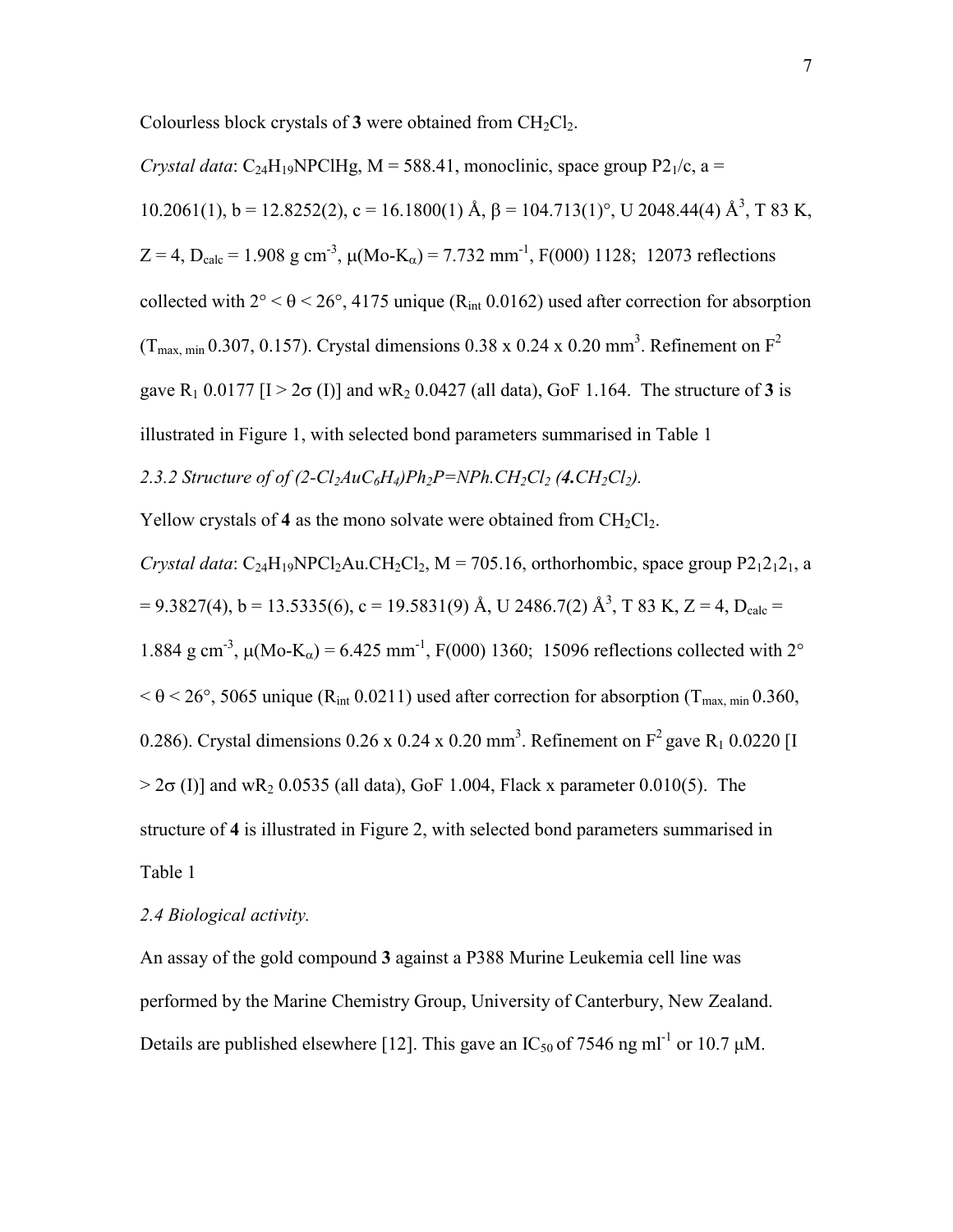Colourless block crystals of 3 were obtained from CH<sub>2</sub>Cl<sub>2</sub>.

*Crystal data*:  $C_{24}H_{19}NPCHg$ ,  $M = 588.41$ , monoclinic, space group  $P_{1}/c$ , a =  $10.2061(1)$ ,  $b = 12.8252(2)$ ,  $c = 16.1800(1)$  Å,  $\beta = 104.713(1)$ °, U 2048.44(4) Å<sup>3</sup>, T 83 K,  $Z = 4$ ,  $D_{\text{calc}} = 1.908$  g cm<sup>-3</sup>,  $\mu$ (Mo-K<sub>a</sub>) = 7.732 mm<sup>-1</sup>, F(000) 1128; 12073 reflections collected with  $2^{\circ} < \theta < 26^{\circ}$ , 4175 unique (R<sub>int</sub> 0.0162) used after correction for absorption (T<sub>max, min</sub> 0.307, 0.157). Crystal dimensions 0.38 x 0.24 x 0.20 mm<sup>3</sup>. Refinement on  $F^2$ gave  $R_1$  0.0177 [I > 2 $\sigma$  (I)] and w $R_2$  0.0427 (all data), GoF 1.164. The structure of 3 is illustrated in Figure 1, with selected bond parameters summarised in Table 1 2.3.2 Structure of of  $(2 - Cl_2AuC_6H_4)Ph_2P = NPh_2Cl_2(4.CH_2Cl_2)$ .

Yellow crystals of 4 as the mono solvate were obtained from  $CH_2Cl_2$ .

*Crystal data*:  $C_{24}H_{19}NPCl<sub>2</sub>Au.CH<sub>2</sub>Cl<sub>2</sub>, M = 705.16$ , orthorhombic, space group  $P2_12_12_1$ , a  $= 9.3827(4)$ , b = 13.5335(6), c = 19.5831(9) Å, U 2486.7(2) Å<sup>3</sup>, T 83 K, Z = 4, D<sub>calc</sub> = 1.884 g cm<sup>-3</sup>,  $\mu$ (Mo-K<sub>a</sub>) = 6.425 mm<sup>-1</sup>, F(000) 1360; 15096 reflections collected with 2°  $< \theta < 26^{\circ}$ , 5065 unique (R<sub>int</sub> 0.0211) used after correction for absorption (T<sub>max, min</sub> 0.360, 0.286). Crystal dimensions 0.26 x 0.24 x 0.20 mm<sup>3</sup>. Refinement on  $F^2$  gave R<sub>1</sub> 0.0220 [I  $> 2\sigma$  (I)] and wR<sub>2</sub> 0.0535 (all data), GoF 1.004, Flack x parameter 0.010(5). The structure of **4** is illustrated in Figure 2, with selected bond parameters summarised in Table 1

## *2.4 Biological activity.*

An assay of the gold compound **3** against a P388 Murine Leukemia cell line was performed by the Marine Chemistry Group, University of Canterbury, New Zealand. Details are published elsewhere [12]. This gave an  $IC_{50}$  of 7546 ng ml<sup>-1</sup> or 10.7  $\mu$ M.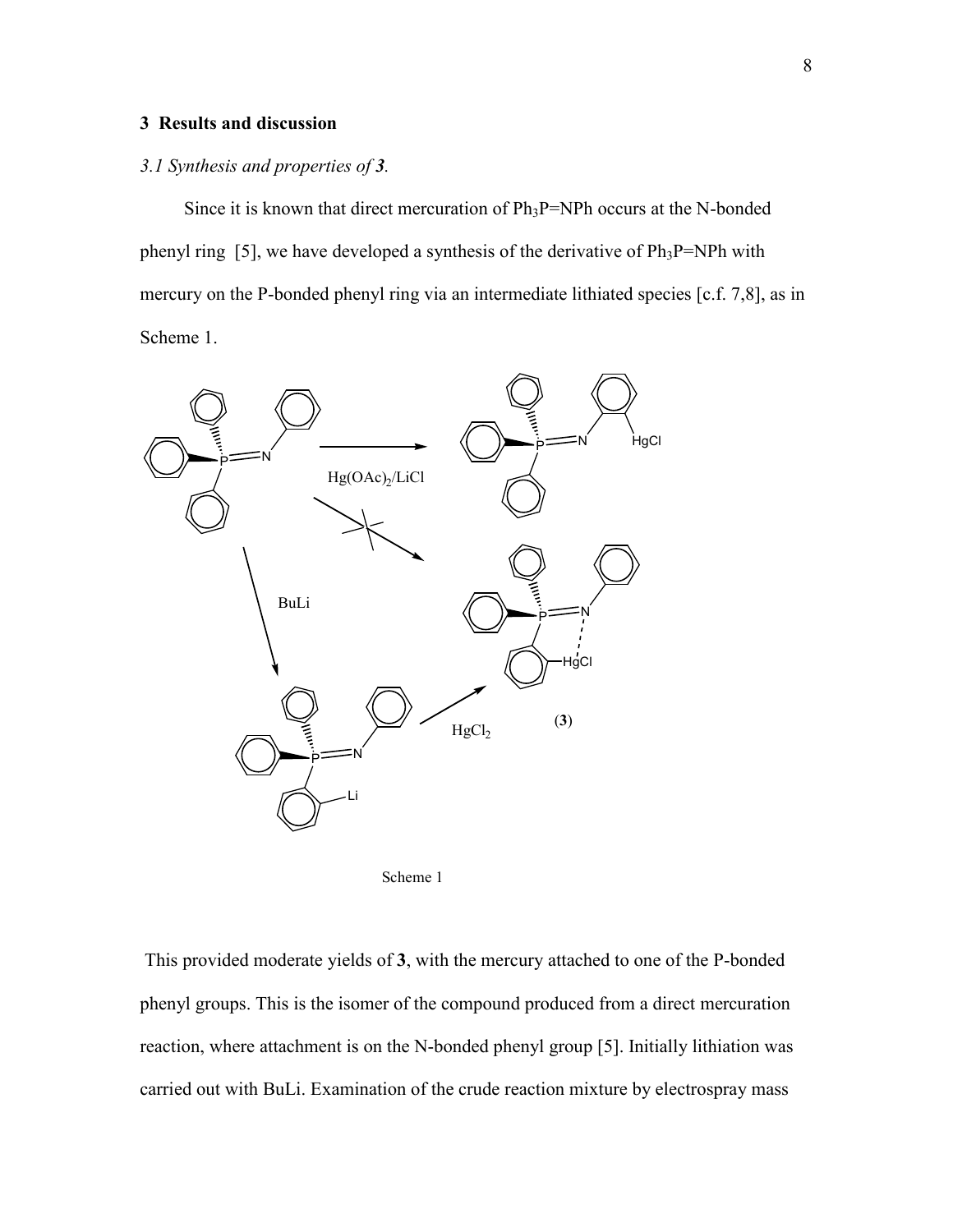### **3 Results and discussion**

#### *3.1 Synthesis and properties of 3.*

Since it is known that direct mercuration of  $Ph_3P=NPh$  occurs at the N-bonded phenyl ring [5], we have developed a synthesis of the derivative of  $Ph_3P=NPh$  with mercury on the P-bonded phenyl ring via an intermediate lithiated species [c.f. 7,8], as in Scheme 1.





This provided moderate yields of **3**, with the mercury attached to one of the P-bonded phenyl groups. This is the isomer of the compound produced from a direct mercuration reaction, where attachment is on the N-bonded phenyl group [5]. Initially lithiation was carried out with BuLi. Examination of the crude reaction mixture by electrospray mass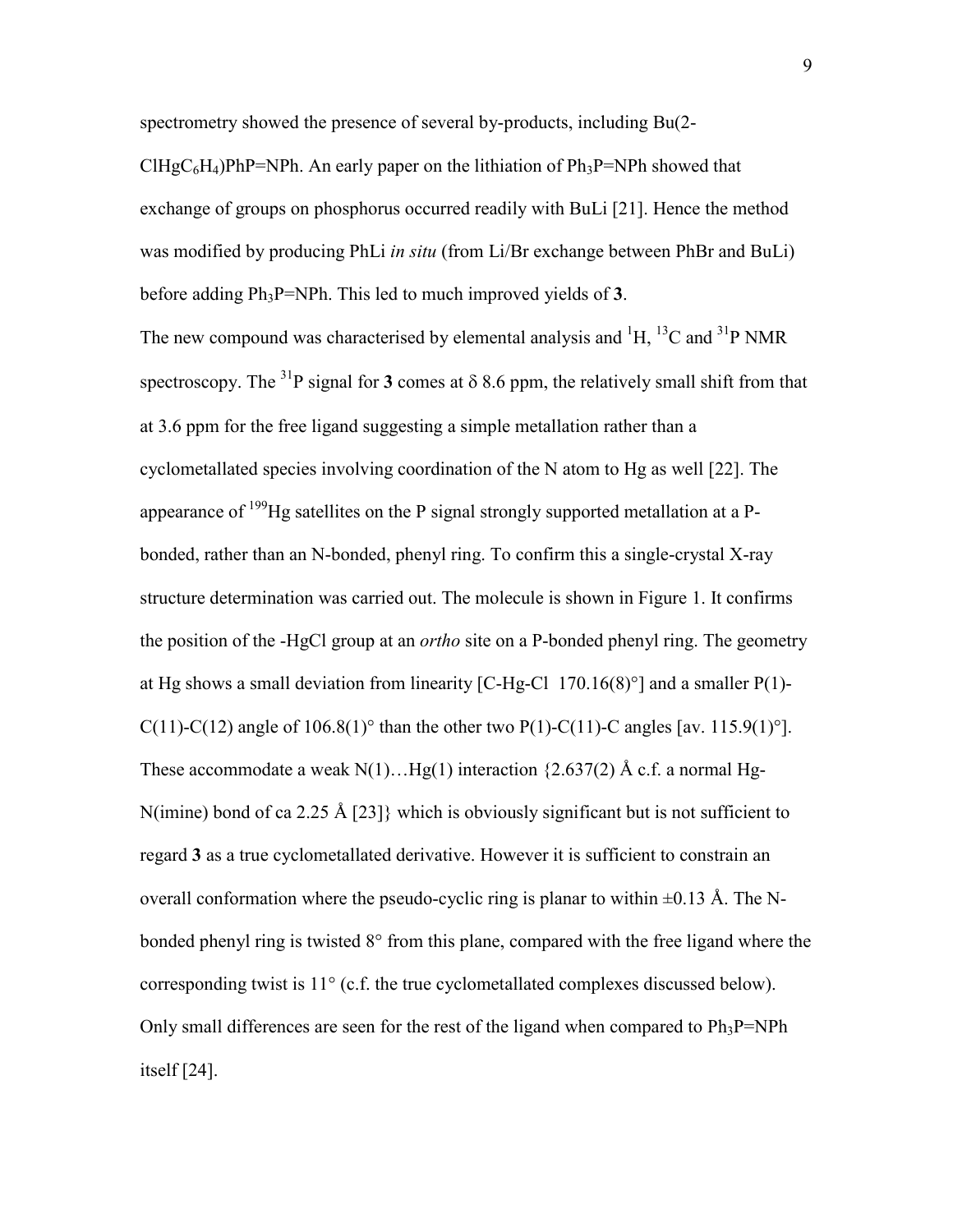spectrometry showed the presence of several by-products, including Bu(2-

ClHgC<sub>6</sub>H<sub>4</sub>)PhP=NPh. An early paper on the lithiation of Ph<sub>3</sub>P=NPh showed that exchange of groups on phosphorus occurred readily with BuLi [21]. Hence the method was modified by producing PhLi *in situ* (from Li/Br exchange between PhBr and BuLi) before adding Ph3P=NPh. This led to much improved yields of **3**.

The new compound was characterised by elemental analysis and  ${}^{1}H, {}^{13}C$  and  ${}^{31}P$  NMR spectroscopy. The <sup>31</sup>P signal for **3** comes at  $\delta$  8.6 ppm, the relatively small shift from that at 3.6 ppm for the free ligand suggesting a simple metallation rather than a cyclometallated species involving coordination of the N atom to Hg as well [22]. The appearance of  $199$ Hg satellites on the P signal strongly supported metallation at a Pbonded, rather than an N-bonded, phenyl ring. To confirm this a single-crystal X-ray structure determination was carried out. The molecule is shown in Figure 1. It confirms the position of the -HgCl group at an *ortho* site on a P-bonded phenyl ring. The geometry at Hg shows a small deviation from linearity [C-Hg-Cl  $170.16(8)$ °] and a smaller P(1)-C(11)-C(12) angle of 106.8(1)<sup>o</sup> than the other two P(1)-C(11)-C angles [av. 115.9(1)<sup>o</sup>]. These accommodate a weak  $N(1)$ ... Hg(1) interaction {2.637(2) Å c.f. a normal Hg-N(imine) bond of ca 2.25 Å [23]} which is obviously significant but is not sufficient to regard **3** as a true cyclometallated derivative. However it is sufficient to constrain an overall conformation where the pseudo-cyclic ring is planar to within  $\pm 0.13$  Å. The Nbonded phenyl ring is twisted 8° from this plane, compared with the free ligand where the corresponding twist is 11° (c.f. the true cyclometallated complexes discussed below). Only small differences are seen for the rest of the ligand when compared to  $Ph_3P=NPh$ itself [24].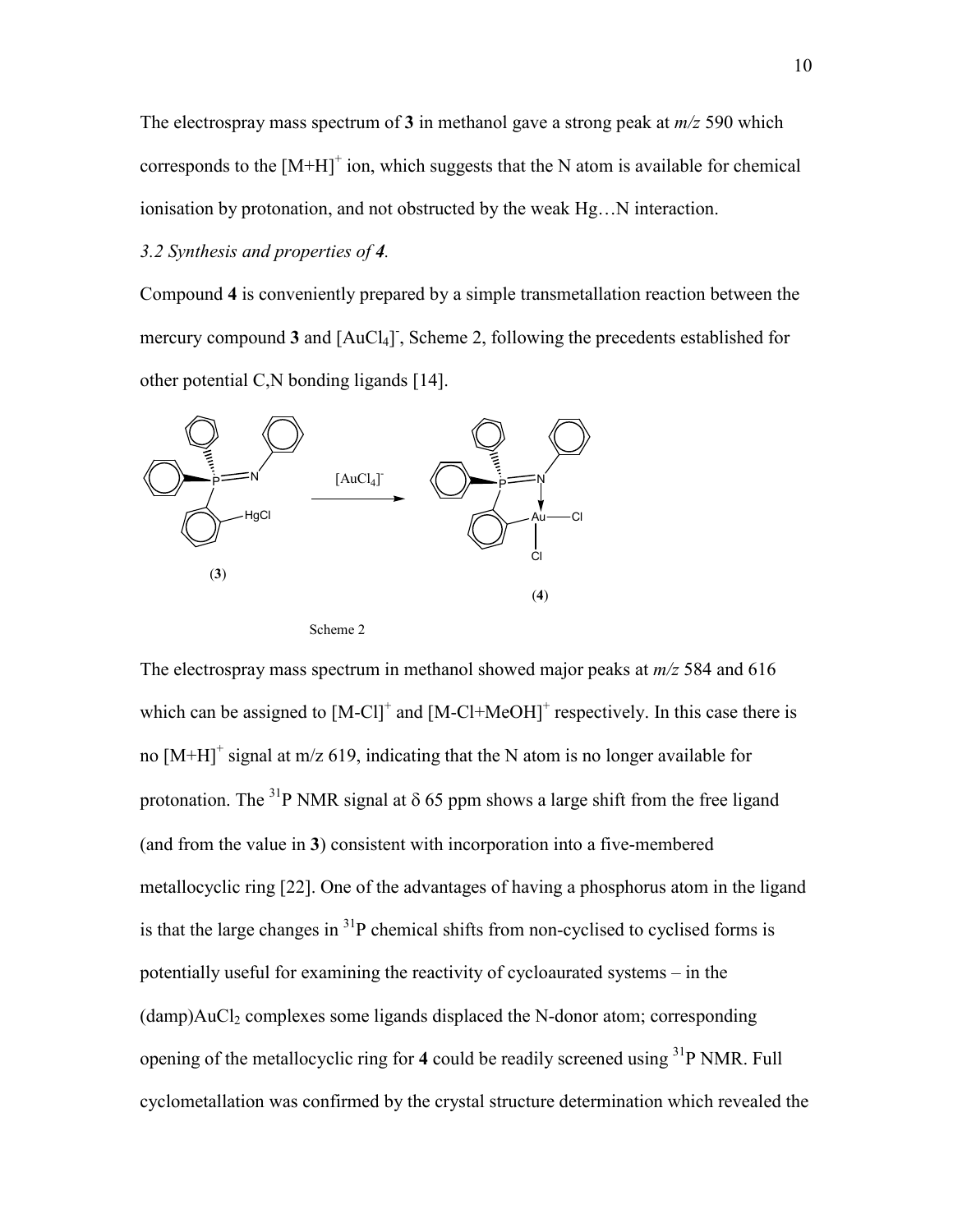The electrospray mass spectrum of **3** in methanol gave a strong peak at *m/z* 590 which corresponds to the  $[M+H]^+$  ion, which suggests that the N atom is available for chemical ionisation by protonation, and not obstructed by the weak Hg…N interaction.

## *3.2 Synthesis and properties of 4.*

Compound **4** is conveniently prepared by a simple transmetallation reaction between the mercury compound 3 and [AuCl<sub>4</sub>]<sup>-</sup>, Scheme 2, following the precedents established for other potential C,N bonding ligands [14].



Scheme 2

The electrospray mass spectrum in methanol showed major peaks at *m/z* 584 and 616 which can be assigned to  $[M-Cl^+]$  and  $[M-Cl^+]$  respectively. In this case there is no  $[M+H]$ <sup>+</sup> signal at m/z 619, indicating that the N atom is no longer available for protonation. The <sup>31</sup>P NMR signal at  $\delta$  65 ppm shows a large shift from the free ligand (and from the value in **3**) consistent with incorporation into a five-membered metallocyclic ring [22]. One of the advantages of having a phosphorus atom in the ligand is that the large changes in 31P chemical shifts from non-cyclised to cyclised forms is potentially useful for examining the reactivity of cycloaurated systems – in the  $(damp)AuCl<sub>2</sub> complexes some ligands displaced the N-donor atom; corresponding$ opening of the metallocyclic ring for **4** could be readily screened using 31P NMR. Full cyclometallation was confirmed by the crystal structure determination which revealed the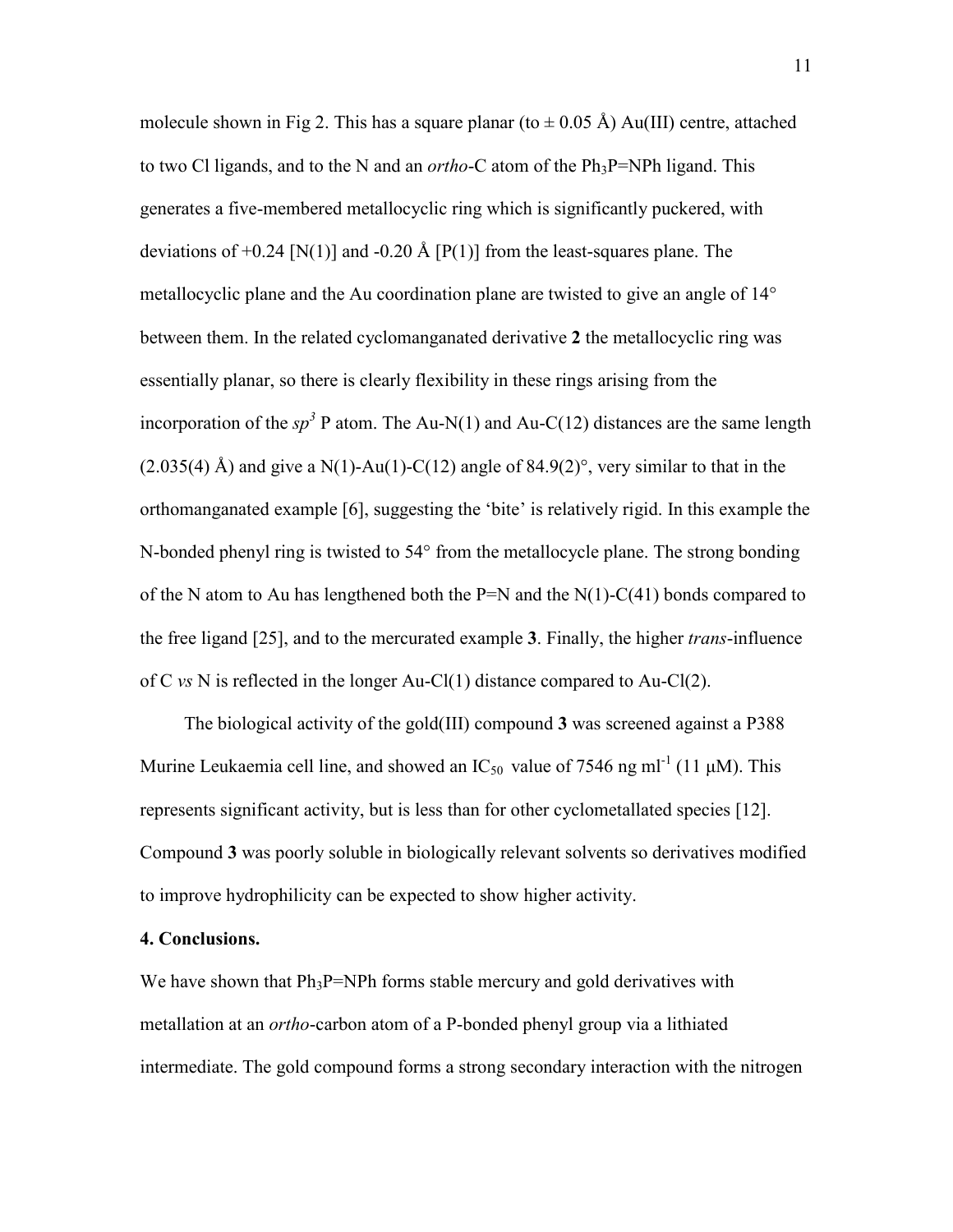molecule shown in Fig 2. This has a square planar (to  $\pm$  0.05 Å) Au(III) centre, attached to two Cl ligands, and to the N and an *ortho*-C atom of the  $Ph_3P=NPh$  ligand. This generates a five-membered metallocyclic ring which is significantly puckered, with deviations of  $+0.24$  [N(1)] and  $-0.20$  Å [P(1)] from the least-squares plane. The metallocyclic plane and the Au coordination plane are twisted to give an angle of 14° between them. In the related cyclomanganated derivative **2** the metallocyclic ring was essentially planar, so there is clearly flexibility in these rings arising from the incorporation of the  $sp^3$  P atom. The Au-N(1) and Au-C(12) distances are the same length  $(2.035(4)$  Å) and give a N(1)-Au(1)-C(12) angle of 84.9(2)°, very similar to that in the orthomanganated example [6], suggesting the 'bite' is relatively rigid. In this example the N-bonded phenyl ring is twisted to 54° from the metallocycle plane. The strong bonding of the N atom to Au has lengthened both the  $P=N$  and the N(1)-C(41) bonds compared to the free ligand [25], and to the mercurated example **3**. Finally, the higher *trans*-influence of C *vs* N is reflected in the longer Au-Cl(1) distance compared to Au-Cl(2).

The biological activity of the gold(III) compound **3** was screened against a P388 Murine Leukaemia cell line, and showed an  $IC_{50}$  value of 7546 ng ml<sup>-1</sup> (11  $\mu$ M). This represents significant activity, but is less than for other cyclometallated species [12]. Compound **3** was poorly soluble in biologically relevant solvents so derivatives modified to improve hydrophilicity can be expected to show higher activity.

#### **4. Conclusions.**

We have shown that  $Ph_3P=NPh$  forms stable mercury and gold derivatives with metallation at an *ortho*-carbon atom of a P-bonded phenyl group via a lithiated intermediate. The gold compound forms a strong secondary interaction with the nitrogen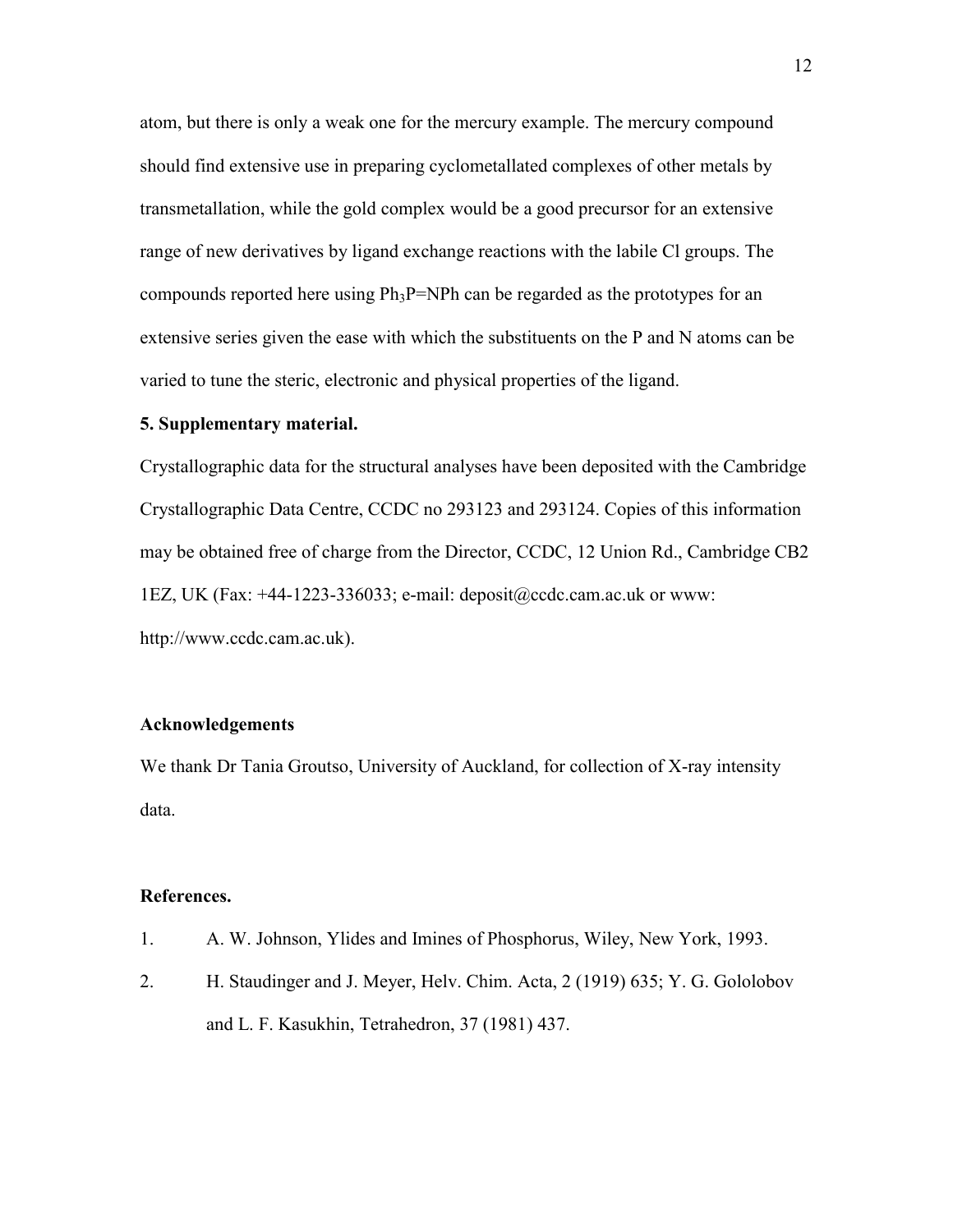atom, but there is only a weak one for the mercury example. The mercury compound should find extensive use in preparing cyclometallated complexes of other metals by transmetallation, while the gold complex would be a good precursor for an extensive range of new derivatives by ligand exchange reactions with the labile Cl groups. The compounds reported here using  $Ph_3P=NPh$  can be regarded as the prototypes for an extensive series given the ease with which the substituents on the P and N atoms can be varied to tune the steric, electronic and physical properties of the ligand.

#### **5. Supplementary material.**

Crystallographic data for the structural analyses have been deposited with the Cambridge Crystallographic Data Centre, CCDC no 293123 and 293124. Copies of this information may be obtained free of charge from the Director, CCDC, 12 Union Rd., Cambridge CB2 1EZ, UK (Fax: +44-1223-336033; e-mail: deposit@ccdc.cam.ac.uk or www: http://www.ccdc.cam.ac.uk).

#### **Acknowledgements**

We thank Dr Tania Groutso, University of Auckland, for collection of X-ray intensity data.

#### **References.**

- 1. A. W. Johnson, Ylides and Imines of Phosphorus, Wiley, New York, 1993.
- 2. H. Staudinger and J. Meyer, Helv. Chim. Acta, 2 (1919) 635; Y. G. Gololobov and L. F. Kasukhin, Tetrahedron, 37 (1981) 437.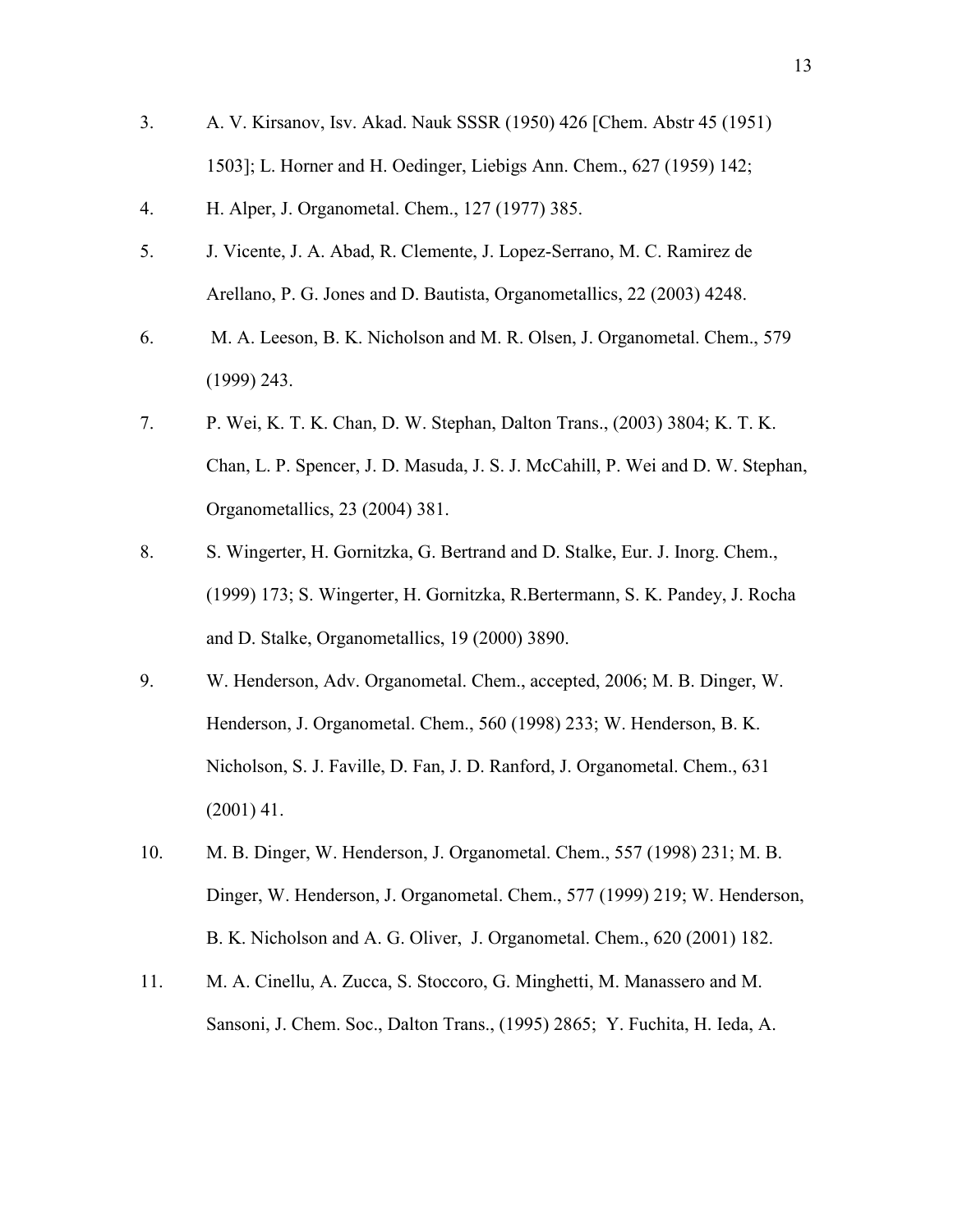- 3. A. V. Kirsanov, Isv. Akad. Nauk SSSR (1950) 426 [Chem. Abstr 45 (1951) 1503]; L. Horner and H. Oedinger, Liebigs Ann. Chem., 627 (1959) 142;
- 4. H. Alper, J. Organometal. Chem., 127 (1977) 385.
- 5. J. Vicente, J. A. Abad, R. Clemente, J. Lopez-Serrano, M. C. Ramirez de Arellano, P. G. Jones and D. Bautista, Organometallics, 22 (2003) 4248.
- 6. M. A. Leeson, B. K. Nicholson and M. R. Olsen, J. Organometal. Chem., 579 (1999) 243.
- 7. P. Wei, K. T. K. Chan, D. W. Stephan, Dalton Trans., (2003) 3804; K. T. K. Chan, L. P. Spencer, J. D. Masuda, J. S. J. McCahill, P. Wei and D. W. Stephan, Organometallics, 23 (2004) 381.
- 8. S. Wingerter, H. Gornitzka, G. Bertrand and D. Stalke, Eur. J. Inorg. Chem., (1999) 173; S. Wingerter, H. Gornitzka, R.Bertermann, S. K. Pandey, J. Rocha and D. Stalke, Organometallics, 19 (2000) 3890.
- 9. W. Henderson, Adv. Organometal. Chem., accepted, 2006; M. B. Dinger, W. Henderson, J. Organometal. Chem., 560 (1998) 233; W. Henderson, B. K. Nicholson, S. J. Faville, D. Fan, J. D. Ranford, J. Organometal. Chem., 631 (2001) 41.
- 10. M. B. Dinger, W. Henderson, J. Organometal. Chem., 557 (1998) 231; M. B. Dinger, W. Henderson, J. Organometal. Chem., 577 (1999) 219; W. Henderson, B. K. Nicholson and A. G. Oliver, J. Organometal. Chem., 620 (2001) 182.
- 11. M. A. Cinellu, A. Zucca, S. Stoccoro, G. Minghetti, M. Manassero and M. Sansoni, J. Chem. Soc., Dalton Trans., (1995) 2865; Y. Fuchita, H. Ieda, A.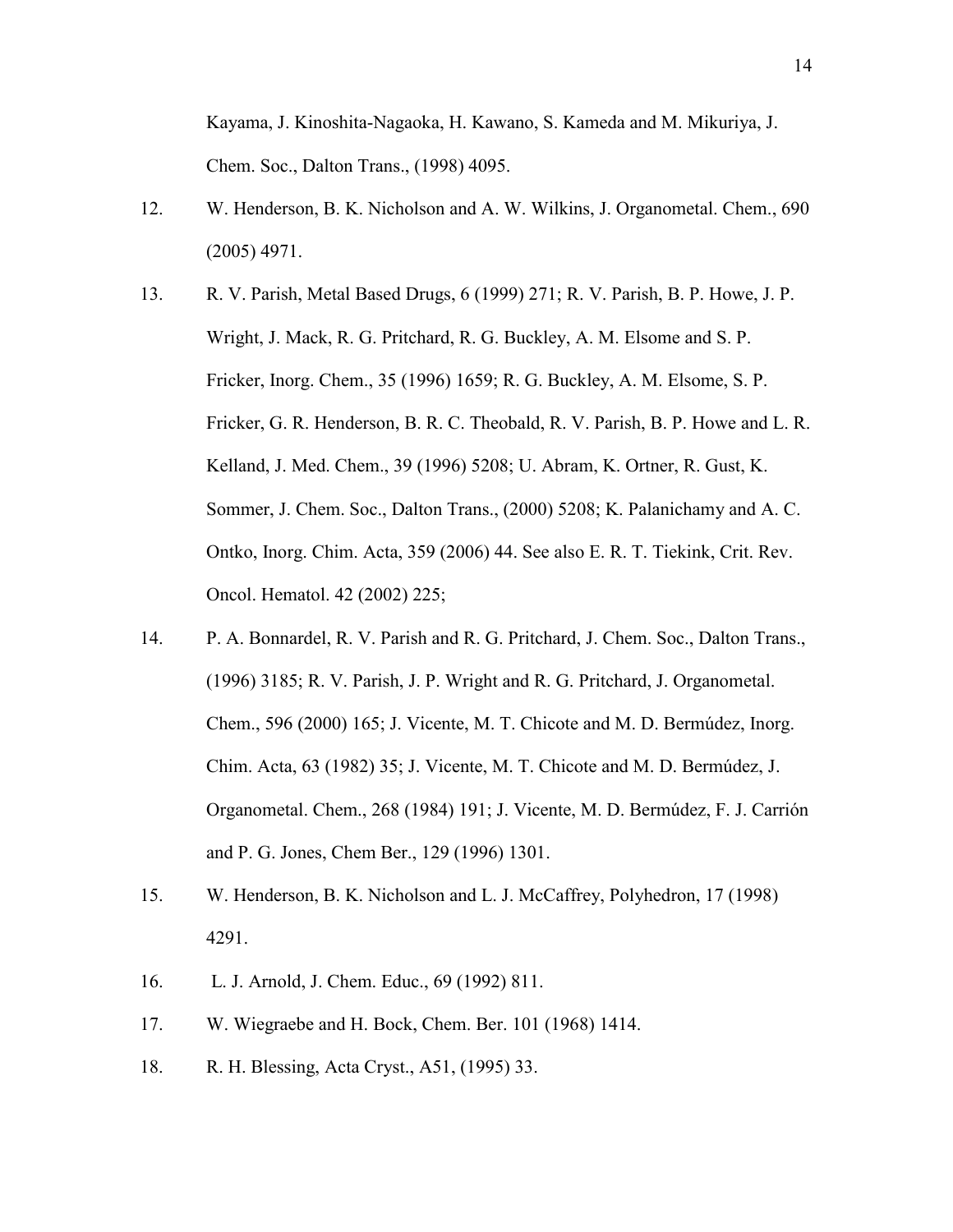Kayama, J. Kinoshita-Nagaoka, H. Kawano, S. Kameda and M. Mikuriya, J. Chem. Soc., Dalton Trans., (1998) 4095.

- 12. W. Henderson, B. K. Nicholson and A. W. Wilkins, J. Organometal. Chem., 690 (2005) 4971.
- 13. R. V. Parish, Metal Based Drugs, 6 (1999) 271; R. V. Parish, B. P. Howe, J. P. Wright, J. Mack, R. G. Pritchard, R. G. Buckley, A. M. Elsome and S. P. Fricker, Inorg. Chem., 35 (1996) 1659; R. G. Buckley, A. M. Elsome, S. P. Fricker, G. R. Henderson, B. R. C. Theobald, R. V. Parish, B. P. Howe and L. R. Kelland, J. Med. Chem., 39 (1996) 5208; U. Abram, K. Ortner, R. Gust, K. Sommer, J. Chem. Soc., Dalton Trans., (2000) 5208; K. Palanichamy and A. C. Ontko, Inorg. Chim. Acta, 359 (2006) 44. See also E. R. T. Tiekink, Crit. Rev. Oncol. Hematol. 42 (2002) 225;
- 14. P. A. Bonnardel, R. V. Parish and R. G. Pritchard, J. Chem. Soc., Dalton Trans., (1996) 3185; R. V. Parish, J. P. Wright and R. G. Pritchard, J. Organometal. Chem., 596 (2000) 165; J. Vicente, M. T. Chicote and M. D. Bermúdez, Inorg. Chim. Acta, 63 (1982) 35; J. Vicente, M. T. Chicote and M. D. Bermúdez, J. Organometal. Chem., 268 (1984) 191; J. Vicente, M. D. Bermúdez, F. J. Carrión and P. G. Jones, Chem Ber., 129 (1996) 1301.
- 15. W. Henderson, B. K. Nicholson and L. J. McCaffrey, Polyhedron, 17 (1998) 4291.
- 16. L. J. Arnold, J. Chem. Educ., 69 (1992) 811.
- 17. W. Wiegraebe and H. Bock, Chem. Ber. 101 (1968) 1414.
- 18. R. H. Blessing, Acta Cryst., A51, (1995) 33.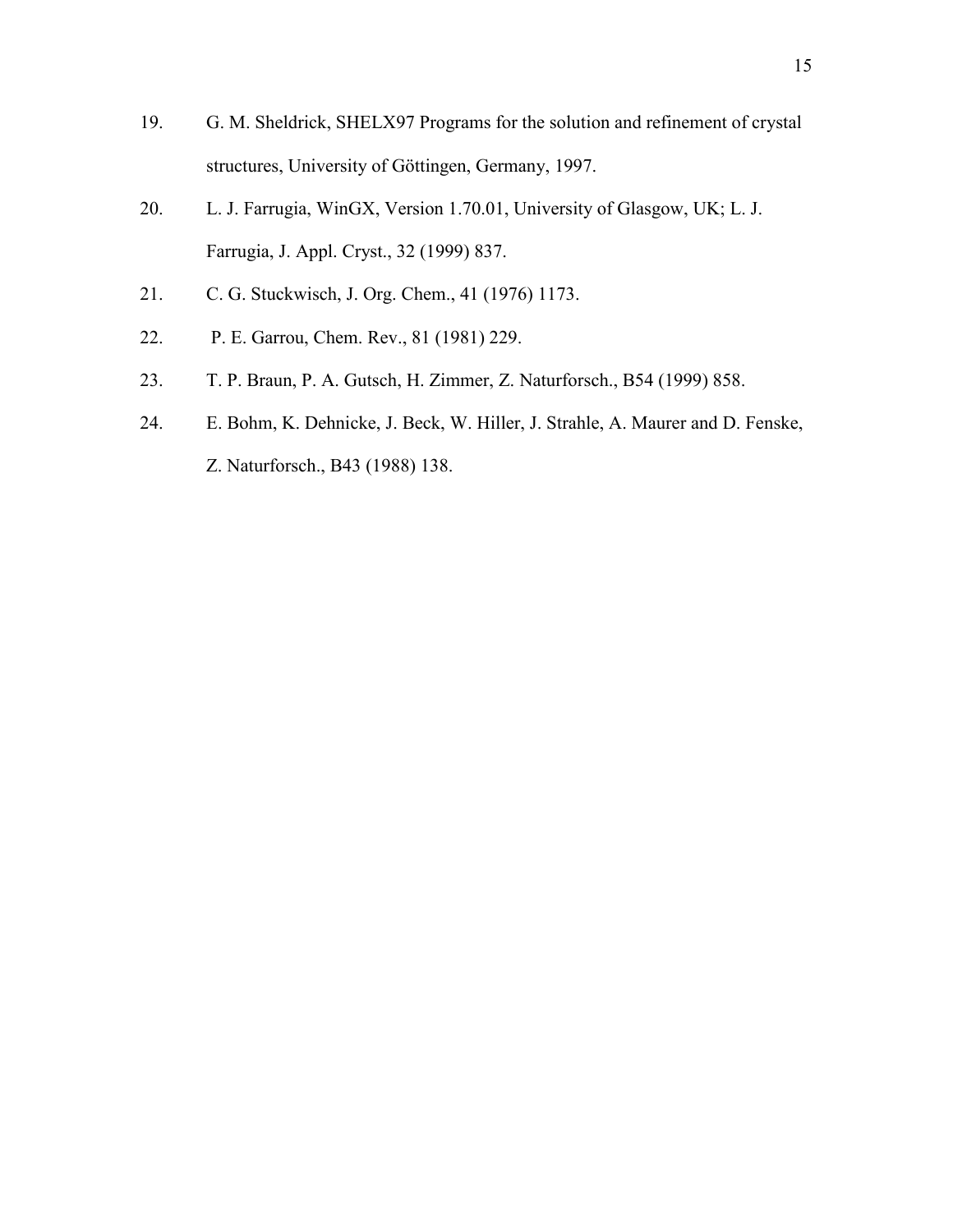- 19. G. M. Sheldrick, SHELX97 Programs for the solution and refinement of crystal structures, University of Göttingen, Germany, 1997.
- 20. L. J. Farrugia, WinGX, Version 1.70.01, University of Glasgow, UK; L. J. Farrugia, J. Appl. Cryst., 32 (1999) 837.
- 21. C. G. Stuckwisch, J. Org. Chem., 41 (1976) 1173.
- 22. P. E. Garrou, Chem. Rev., 81 (1981) 229.
- 23. T. P. Braun, P. A. Gutsch, H. Zimmer, Z. Naturforsch., B54 (1999) 858.
- 24. E. Bohm, K. Dehnicke, J. Beck, W. Hiller, J. Strahle, A. Maurer and D. Fenske, Z. Naturforsch., B43 (1988) 138.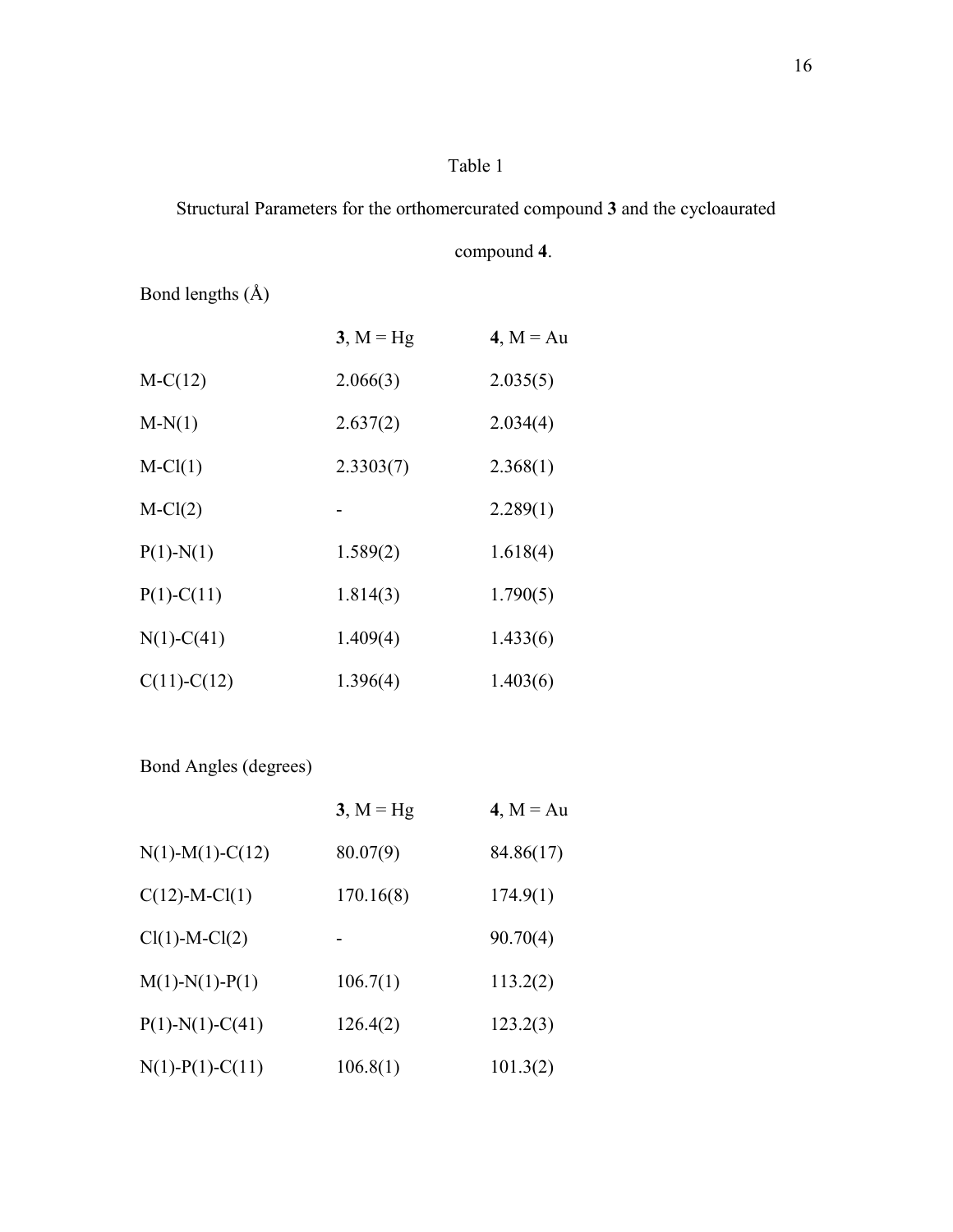## Table 1

# Structural Parameters for the orthomercurated compound **3** and the cycloaurated

# compound **4**.

Bond lengths (Å)

|               | $3, M = Hg$ | 4, $M = Au$ |
|---------------|-------------|-------------|
| $M-C(12)$     | 2.066(3)    | 2.035(5)    |
| $M-N(1)$      | 2.637(2)    | 2.034(4)    |
| $M-Cl(1)$     | 2.3303(7)   | 2.368(1)    |
| $M-Cl(2)$     |             | 2.289(1)    |
| $P(1)-N(1)$   | 1.589(2)    | 1.618(4)    |
| $P(1)-C(11)$  | 1.814(3)    | 1.790(5)    |
| $N(1)-C(41)$  | 1.409(4)    | 1.433(6)    |
| $C(11)-C(12)$ | 1.396(4)    | 1.403(6)    |

Bond Angles (degrees)

|                    | $3, M = Hg$ | $4, M = Au$ |
|--------------------|-------------|-------------|
| $N(1)-M(1)-C(12)$  | 80.07(9)    | 84.86(17)   |
| $C(12)$ -M-Cl(1)   | 170.16(8)   | 174.9(1)    |
| $Cl(1)-M-Cl(2)$    |             | 90.70(4)    |
| $M(1)-N(1)-P(1)$   | 106.7(1)    | 113.2(2)    |
| $P(1)-N(1)-C(41)$  | 126.4(2)    | 123.2(3)    |
| $N(1)$ -P(1)-C(11) | 106.8(1)    | 101.3(2)    |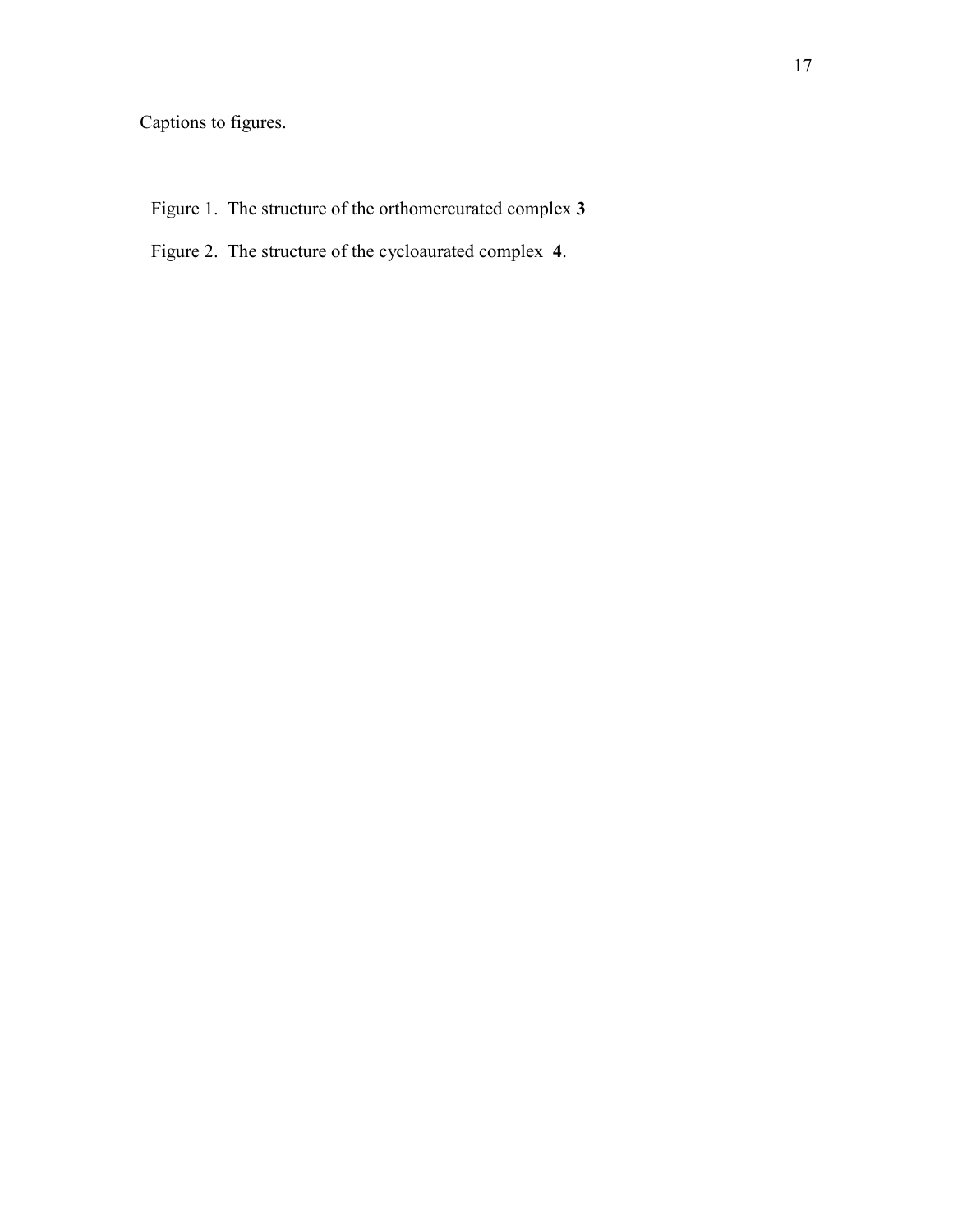Captions to figures.

- Figure 1. The structure of the orthomercurated complex **3**
- Figure 2. The structure of the cycloaurated complex **4**.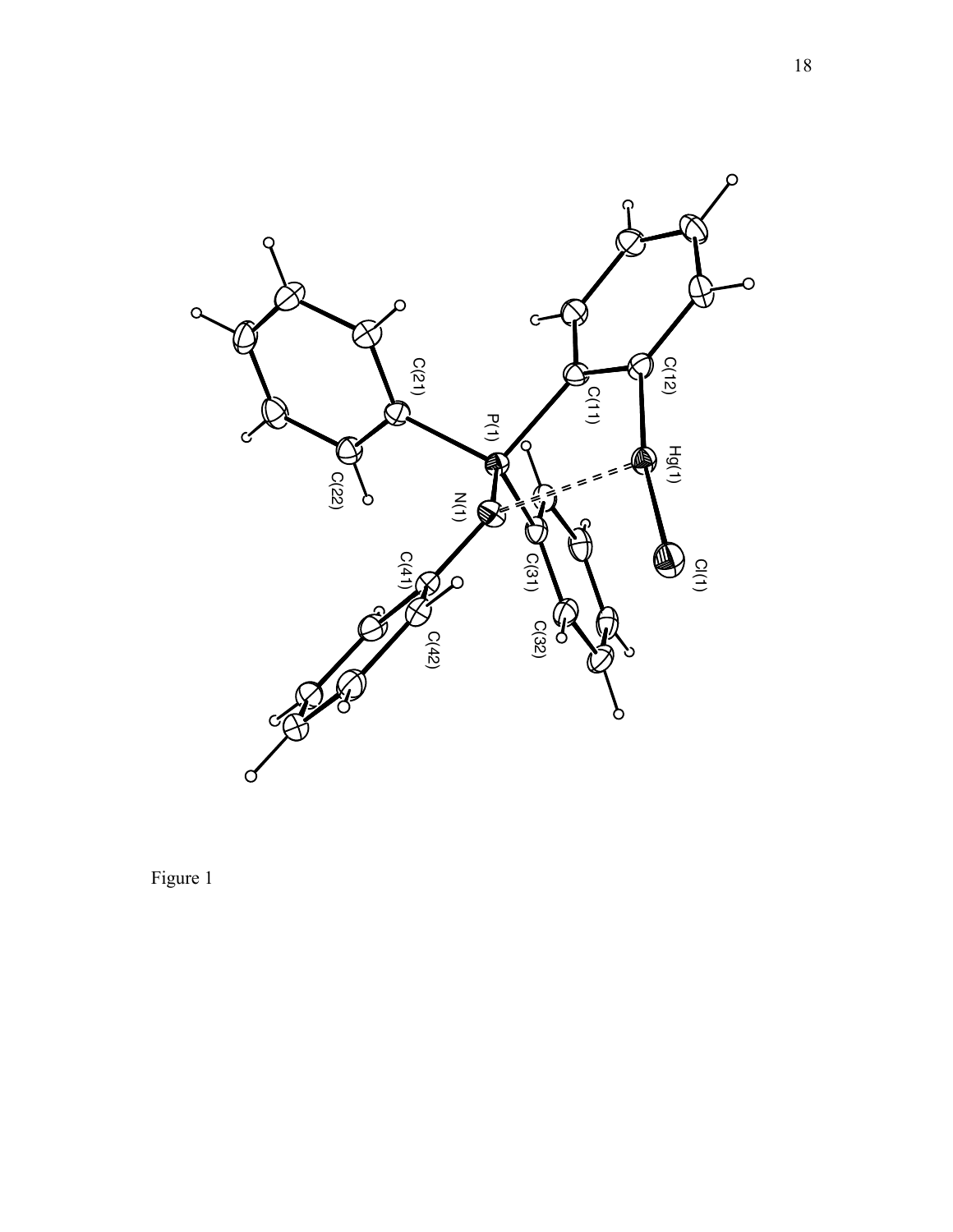

Figure 1